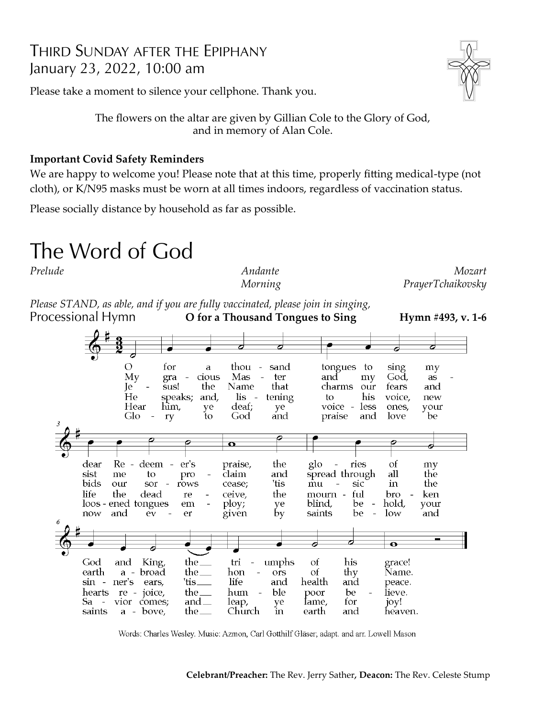# THIRD SUNDAY AFTER THE EPIPHANY January 23, 2022, 10:00 am

Please take a moment to silence your cellphone. Thank you.

The flowers on the altar are given by Gillian Cole to the Glory of God, and in memory of Alan Cole.

#### **Important Covid Safety Reminders**

We are happy to welcome you! Please note that at this time, properly fitting medical-type (not cloth), or K/N95 masks must be worn at all times indoors, regardless of vaccination status.

Please socially distance by household as far as possible.

# The Word of God

*Prelude Andante Mozart Morning PrayerTchaikovsky* 

*Please STAND, as able, and if you are fully vaccinated, please join in singing,*  Processional Hymn **O for a Thousand Tongues to Sing Hymn #493, v. 1-6**

 $\overline{O}$ for thou sand tongues to sing my a  $My$ God, gra  $\sim$ cious Mas ter and my as Iе sus! the Name that charms our fears and He speaks; and,  $\overline{\text{lis}}$  tening to his voice. new your him, ye voice -Hear deaf; ye less ones, Glo ťо and be ry God praise and love P  $\Omega$ a Re - deem er's the  $\sigma f$ dear praise, glo ries my the claim and spread through all sist me to pro bids 'tis the our sor  $\overline{a}$ rows cease; sic in mu life the the bro dead re ceive. mourn ful ken loos - ened tongues em ploy; ye blind, be hold, your  $\overline{a}$ by now and  $ev$ given saints be low and er  $\overline{\phantom{a}}$  $\overline{\mathbf{o}}$ e the. of his God and King, tri umphs grace! earth a - broad the. hon of thy Name. ors health sin - ner's ears, 'tis. life and and peace. hearts re - joice, the. hum ble poor be lieve. Sa - vior comes; and  $\_$ Iame, for joy! leap, ye saints a - bove, the $\_$ Church  $\mathbf{in}$ earth and heaven.

Words: Charles Wesley. Music: Azmon, Carl Gotthilf Gläser; adapt. and arr. Lowell Mason

**Celebrant/Preacher:** The Rev. Jerry Sather*,* **Deacon:** The Rev. Celeste Stump

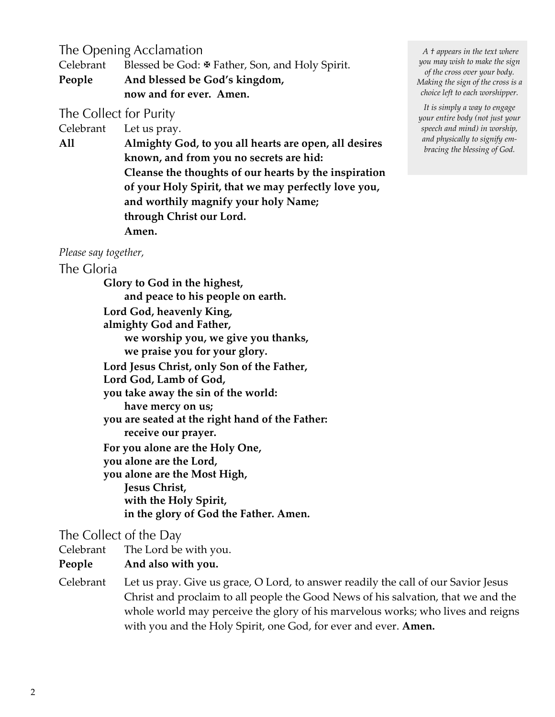#### The Opening Acclamation

Celebrant Blessed be God: *₩* Father, Son, and Holy Spirit. **People And blessed be God's kingdom, now and for ever. Amen.**

The Collect for Purity

Celebrant Let us pray.

**All Almighty God, to you all hearts are open, all desires known, and from you no secrets are hid: Cleanse the thoughts of our hearts by the inspiration of your Holy Spirit, that we may perfectly love you, and worthily magnify your holy Name; through Christ our Lord. Amen.**

*Please say together,*

#### The Gloria **Glory to God in the highest, and peace to his people on earth. Lord God, heavenly King, almighty God and Father, we worship you, we give you thanks, we praise you for your glory. Lord Jesus Christ, only Son of the Father, Lord God, Lamb of God, you take away the sin of the world: have mercy on us; you are seated at the right hand of the Father: receive our prayer. For you alone are the Holy One, you alone are the Lord, you alone are the Most High, Jesus Christ, with the Holy Spirit, in the glory of God the Father. Amen.**

#### The Collect of the Day

Celebrant The Lord be with you.

**People And also with you.**

Celebrant Let us pray. Give us grace, O Lord, to answer readily the call of our Savior Jesus Christ and proclaim to all people the Good News of his salvation, that we and the whole world may perceive the glory of his marvelous works; who lives and reigns with you and the Holy Spirit, one God, for ever and ever. **Amen.**

*A † appears in the text where you may wish to make the sign of the cross over your body. Making the sign of the cross is a choice left to each worshipper.*

*It is simply a way to engage your entire body (not just your speech and mind) in worship, and physically to signify embracing the blessing of God.*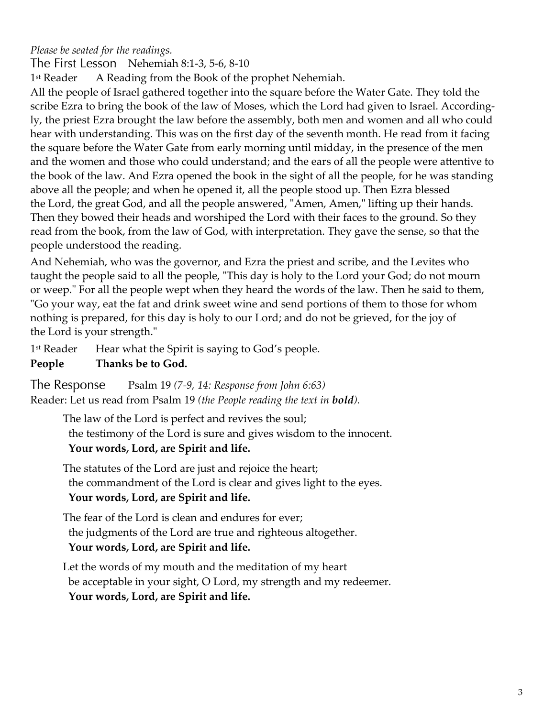*Please be seated for the readings.*

The First Lesson Nehemiah 8:1-3, 5-6, 8-10

1<sup>st</sup> Reader A Reading from the Book of the prophet Nehemiah.

All the people of Israel gathered together into the square before the Water Gate. They told the scribe Ezra to bring the book of the law of Moses, which the Lord had given to Israel. Accordingly, the priest Ezra brought the law before the assembly, both men and women and all who could hear with understanding. This was on the first day of the seventh month. He read from it facing the square before the Water Gate from early morning until midday, in the presence of the men and the women and those who could understand; and the ears of all the people were attentive to the book of the law. And Ezra opened the book in the sight of all the people, for he was standing above all the people; and when he opened it, all the people stood up. Then Ezra blessed the Lord, the great God, and all the people answered, "Amen, Amen," lifting up their hands. Then they bowed their heads and worshiped the Lord with their faces to the ground. So they read from the book, from the law of God, with interpretation. They gave the sense, so that the people understood the reading.

And Nehemiah, who was the governor, and Ezra the priest and scribe, and the Levites who taught the people said to all the people, "This day is holy to the Lord your God; do not mourn or weep." For all the people wept when they heard the words of the law. Then he said to them, "Go your way, eat the fat and drink sweet wine and send portions of them to those for whom nothing is prepared, for this day is holy to our Lord; and do not be grieved, for the joy of the Lord is your strength."

1<sup>st</sup> Reader Hear what the Spirit is saying to God's people.

**People Thanks be to God.**

The Response Psalm 19 *(7-9, 14: Response from John 6:63)* Reader: Let us read from Psalm 19 *(the People reading the text in bold).*

> The law of the Lord is perfect and revives the soul; the testimony of the Lord is sure and gives wisdom to the innocent.  **Your words, Lord, are Spirit and life.**

The statutes of the Lord are just and rejoice the heart; the commandment of the Lord is clear and gives light to the eyes.  **Your words, Lord, are Spirit and life.**

The fear of the Lord is clean and endures for ever; the judgments of the Lord are true and righteous altogether.  **Your words, Lord, are Spirit and life.**

Let the words of my mouth and the meditation of my heart be acceptable in your sight, O Lord, my strength and my redeemer.  **Your words, Lord, are Spirit and life.**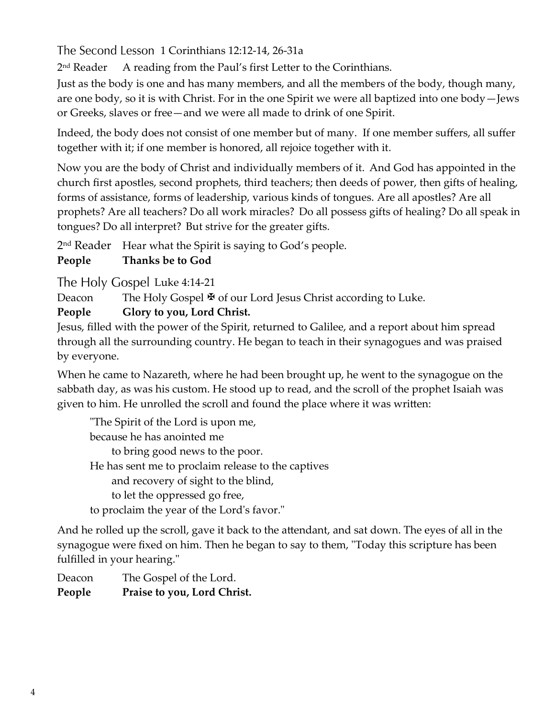The Second Lesson 1 Corinthians 12:12-14, 26-31a

2<sup>nd</sup> Reader A reading from the Paul's first Letter to the Corinthians.

Just as the body is one and has many members, and all the members of the body, though many, are one body, so it is with Christ. For in the one Spirit we were all baptized into one body—Jews or Greeks, slaves or free—and we were all made to drink of one Spirit.

Indeed, the body does not consist of one member but of many. If one member suffers, all suffer together with it; if one member is honored, all rejoice together with it.

Now you are the body of Christ and individually members of it. And God has appointed in the church first apostles, second prophets, third teachers; then deeds of power, then gifts of healing, forms of assistance, forms of leadership, various kinds of tongues. Are all apostles? Are all prophets? Are all teachers? Do all work miracles? Do all possess gifts of healing? Do all speak in tongues? Do all interpret? But strive for the greater gifts.

2 nd Reader Hear what the Spirit is saying to God's people.

## **People Thanks be to God**

The Holy Gospel Luke 4:14-21

Deacon The Holy Gospel  $\mathbb F$  of our Lord Jesus Christ according to Luke.

### **People Glory to you, Lord Christ.**

Jesus, filled with the power of the Spirit, returned to Galilee, and a report about him spread through all the surrounding country. He began to teach in their synagogues and was praised by everyone.

When he came to Nazareth, where he had been brought up, he went to the synagogue on the sabbath day, as was his custom. He stood up to read, and the scroll of the prophet Isaiah was given to him. He unrolled the scroll and found the place where it was written:

"The Spirit of the Lord is upon me, because he has anointed me to bring good news to the poor. He has sent me to proclaim release to the captives and recovery of sight to the blind, to let the oppressed go free, to proclaim the year of the Lord's favor."

And he rolled up the scroll, gave it back to the attendant, and sat down. The eyes of all in the synagogue were fixed on him. Then he began to say to them, "Today this scripture has been fulfilled in your hearing."

Deacon The Gospel of the Lord.

**People Praise to you, Lord Christ.**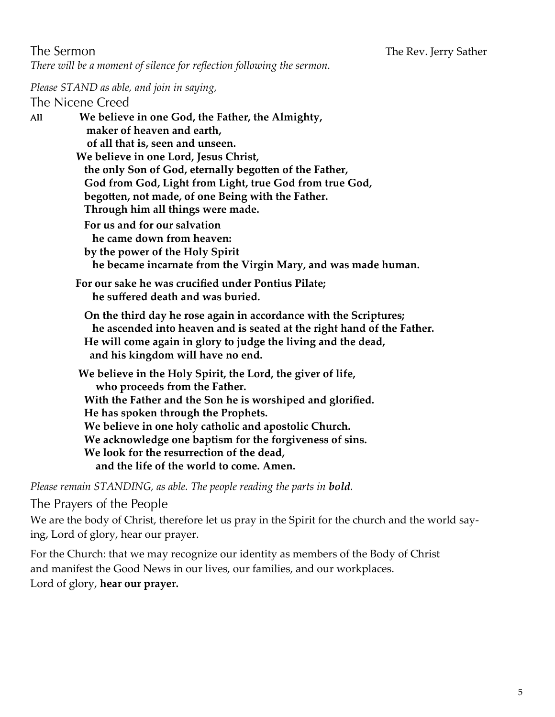#### The Rev. Jerry Sather

### The Sermon

*There will be a moment of silence for reflection following the sermon.*

*Please STAND as able, and join in saying,*

| The Nicene Creed                                                       |
|------------------------------------------------------------------------|
| We believe in one God, the Father, the Almighty,<br>A11                |
| maker of heaven and earth,                                             |
| of all that is, seen and unseen.                                       |
| We believe in one Lord, Jesus Christ,                                  |
| the only Son of God, eternally begotten of the Father,                 |
| God from God, Light from Light, true God from true God,                |
| begotten, not made, of one Being with the Father.                      |
| Through him all things were made.                                      |
| For us and for our salvation                                           |
| he came down from heaven:                                              |
| by the power of the Holy Spirit                                        |
| he became incarnate from the Virgin Mary, and was made human.          |
| For our sake he was crucified under Pontius Pilate;                    |
| he suffered death and was buried.                                      |
| On the third day he rose again in accordance with the Scriptures;      |
| he ascended into heaven and is seated at the right hand of the Father. |
| He will come again in glory to judge the living and the dead,          |
| and his kingdom will have no end.                                      |
| We believe in the Holy Spirit, the Lord, the giver of life,            |
| who proceeds from the Father.                                          |
| With the Father and the Son he is worshiped and glorified.             |
| He has spoken through the Prophets.                                    |
| We believe in one holy catholic and apostolic Church.                  |
| We acknowledge one baptism for the forgiveness of sins.                |
| We look for the resurrection of the dead,                              |
| and the life of the world to come. Amen.                               |

*Please remain STANDING, as able. The people reading the parts in bold.* 

The Prayers of the People

We are the body of Christ, therefore let us pray in the Spirit for the church and the world saying, Lord of glory, hear our prayer.

For the Church: that we may recognize our identity as members of the Body of Christ and manifest the Good News in our lives, our families, and our workplaces. Lord of glory, **hear our prayer.**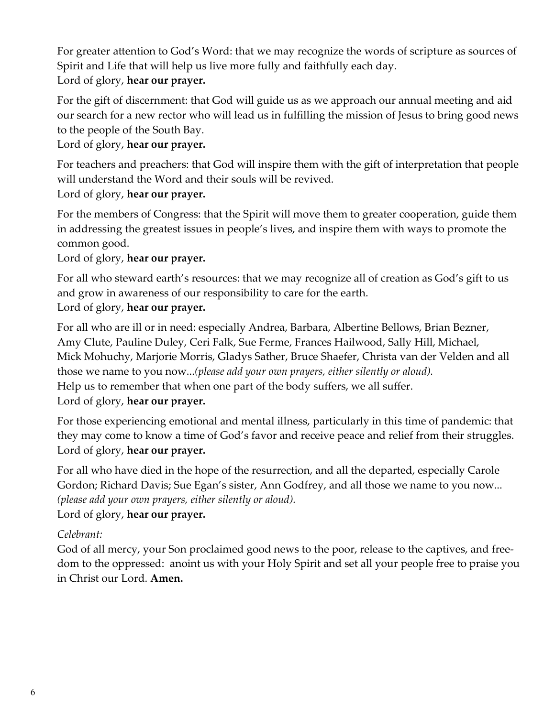For greater attention to God's Word: that we may recognize the words of scripture as sources of Spirit and Life that will help us live more fully and faithfully each day. Lord of glory, **hear our prayer.**

For the gift of discernment: that God will guide us as we approach our annual meeting and aid our search for a new rector who will lead us in fulfilling the mission of Jesus to bring good news to the people of the South Bay.

#### Lord of glory, **hear our prayer.**

For teachers and preachers: that God will inspire them with the gift of interpretation that people will understand the Word and their souls will be revived.

#### Lord of glory, **hear our prayer.**

For the members of Congress: that the Spirit will move them to greater cooperation, guide them in addressing the greatest issues in people's lives, and inspire them with ways to promote the common good.

#### Lord of glory, **hear our prayer.**

For all who steward earth's resources: that we may recognize all of creation as God's gift to us and grow in awareness of our responsibility to care for the earth. Lord of glory, **hear our prayer.**

For all who are ill or in need: especially Andrea, Barbara, Albertine Bellows, Brian Bezner, Amy Clute, Pauline Duley, Ceri Falk, Sue Ferme, Frances Hailwood, Sally Hill, Michael, Mick Mohuchy, Marjorie Morris, Gladys Sather, Bruce Shaefer, Christa van der Velden and all those we name to you now...*(please add your own prayers, either silently or aloud).* Help us to remember that when one part of the body suffers, we all suffer. Lord of glory, **hear our prayer.**

For those experiencing emotional and mental illness, particularly in this time of pandemic: that they may come to know a time of God's favor and receive peace and relief from their struggles. Lord of glory, **hear our prayer.**

For all who have died in the hope of the resurrection, and all the departed, especially Carole Gordon; Richard Davis; Sue Egan's sister, Ann Godfrey, and all those we name to you now... *(please add your own prayers, either silently or aloud).*

#### Lord of glory, **hear our prayer.**

#### *Celebrant:*

God of all mercy, your Son proclaimed good news to the poor, release to the captives, and freedom to the oppressed: anoint us with your Holy Spirit and set all your people free to praise you in Christ our Lord. **Amen.**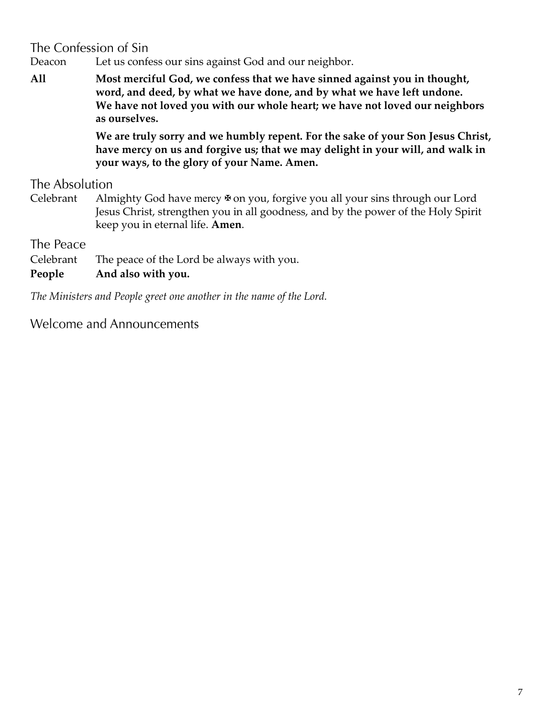The Confession of Sin

Deacon Let us confess our sins against God and our neighbor.

**All Most merciful God, we confess that we have sinned against you in thought, word, and deed, by what we have done, and by what we have left undone. We have not loved you with our whole heart; we have not loved our neighbors as ourselves.**

> **We are truly sorry and we humbly repent. For the sake of your Son Jesus Christ, have mercy on us and forgive us; that we may delight in your will, and walk in your ways, to the glory of your Name. Amen.**

The Absolution

Celebrant Almighty God have mercy  $\mathcal F$  on you, forgive you all your sins through our Lord Jesus Christ, strengthen you in all goodness, and by the power of the Holy Spirit keep you in eternal life. **Amen**.

The Peace

Celebrant The peace of the Lord be always with you.

**People And also with you.**

*The Ministers and People greet one another in the name of the Lord.*

Welcome and Announcements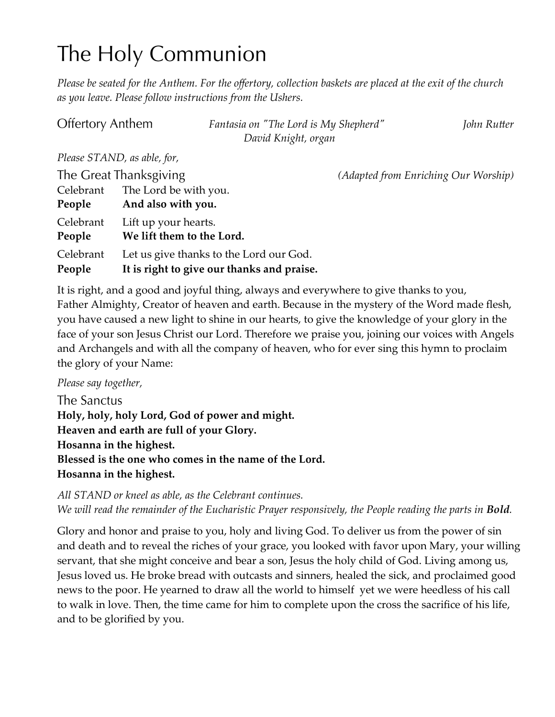# The Holy Communion

*Please be seated for the Anthem. For the offertory, collection baskets are placed at the exit of the church as you leave. Please follow instructions from the Ushers.*

| <b>Offertory Anthem</b> | Fantasia on "The Lord is My Shepherd" | John Rutter |  |  |
|-------------------------|---------------------------------------|-------------|--|--|
| David Knight, organ     |                                       |             |  |  |

*Please STAND, as able, for,*

| The Great Thanksgiving |                                                   | (Adapted from Enriching Our Worship) |
|------------------------|---------------------------------------------------|--------------------------------------|
| Celebrant<br>People    | The Lord be with you.<br>And also with you.       |                                      |
| Celebrant<br>People    | Lift up your hearts.<br>We lift them to the Lord. |                                      |
| Celebrant              | Let us give thanks to the Lord our God.           |                                      |
| People                 | It is right to give our thanks and praise.        |                                      |

It is right, and a good and joyful thing, always and everywhere to give thanks to you, Father Almighty, Creator of heaven and earth. Because in the mystery of the Word made flesh, you have caused a new light to shine in our hearts, to give the knowledge of your glory in the face of your son Jesus Christ our Lord. Therefore we praise you, joining our voices with Angels and Archangels and with all the company of heaven, who for ever sing this hymn to proclaim the glory of your Name:

*Please say together,*

The Sanctus **Holy, holy, holy Lord, God of power and might. Heaven and earth are full of your Glory. Hosanna in the highest. Blessed is the one who comes in the name of the Lord. Hosanna in the highest.**

*All STAND or kneel as able, as the Celebrant continues. We will read the remainder of the Eucharistic Prayer responsively, the People reading the parts in Bold.* 

Glory and honor and praise to you, holy and living God. To deliver us from the power of sin and death and to reveal the riches of your grace, you looked with favor upon Mary, your willing servant, that she might conceive and bear a son, Jesus the holy child of God. Living among us, Jesus loved us. He broke bread with outcasts and sinners, healed the sick, and proclaimed good news to the poor. He yearned to draw all the world to himself yet we were heedless of his call to walk in love. Then, the time came for him to complete upon the cross the sacrifice of his life, and to be glorified by you.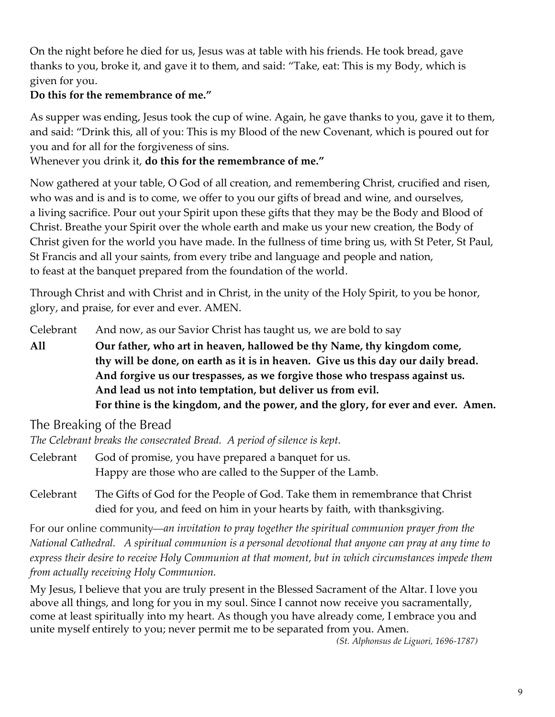On the night before he died for us, Jesus was at table with his friends. He took bread, gave thanks to you, broke it, and gave it to them, and said: "Take, eat: This is my Body, which is given for you.

### **Do this for the remembrance of me."**

As supper was ending, Jesus took the cup of wine. Again, he gave thanks to you, gave it to them, and said: "Drink this, all of you: This is my Blood of the new Covenant, which is poured out for you and for all for the forgiveness of sins.

Whenever you drink it, **do this for the remembrance of me."**

Now gathered at your table, O God of all creation, and remembering Christ, crucified and risen, who was and is and is to come, we offer to you our gifts of bread and wine, and ourselves, a living sacrifice. Pour out your Spirit upon these gifts that they may be the Body and Blood of Christ. Breathe your Spirit over the whole earth and make us your new creation, the Body of Christ given for the world you have made. In the fullness of time bring us, with St Peter, St Paul, St Francis and all your saints, from every tribe and language and people and nation, to feast at the banquet prepared from the foundation of the world.

Through Christ and with Christ and in Christ, in the unity of the Holy Spirit, to you be honor, glory, and praise, for ever and ever. AMEN.

Celebrant And now, as our Savior Christ has taught us, we are bold to say **All Our father, who art in heaven, hallowed be thy Name, thy kingdom come, thy will be done, on earth as it is in heaven. Give us this day our daily bread. And forgive us our trespasses, as we forgive those who trespass against us. And lead us not into temptation, but deliver us from evil. For thine is the kingdom, and the power, and the glory, for ever and ever. Amen.**

The Breaking of the Bread

*The Celebrant breaks the consecrated Bread. A period of silence is kept.*

- Celebrant God of promise, you have prepared a banquet for us. Happy are those who are called to the Supper of the Lamb.
- Celebrant The Gifts of God for the People of God. Take them in remembrance that Christ died for you, and feed on him in your hearts by faith, with thanksgiving.

For our online community—an *invitation to pray together the spiritual communion prayer from the National Cathedral. A spiritual communion is a personal devotional that anyone can pray at any time to express their desire to receive Holy Communion at that moment, but in which circumstances impede them from actually receiving Holy Communion.*

My Jesus, I believe that you are truly present in the Blessed Sacrament of the Altar. I love you above all things, and long for you in my soul. Since I cannot now receive you sacramentally, come at least spiritually into my heart. As though you have already come, I embrace you and unite myself entirely to you; never permit me to be separated from you. Amen.

*(St. Alphonsus de Liguori, 1696-1787)*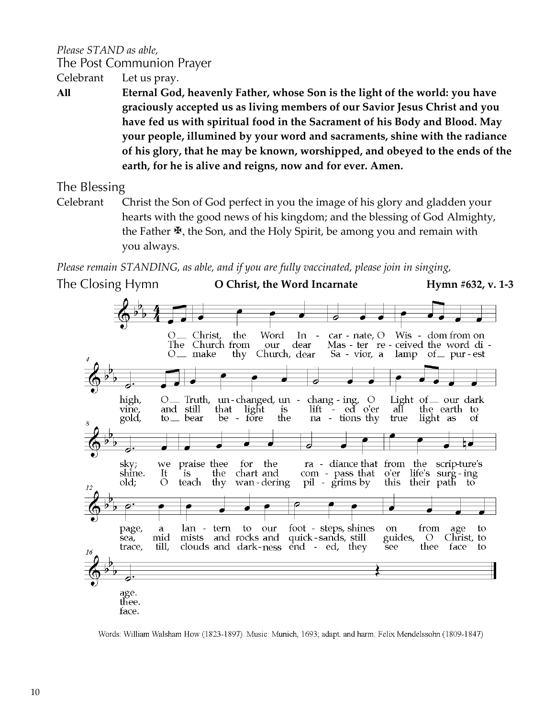# *Please STAND as able,*

Celebrant Let us pray.

**All Eternal God, heavenly Father, whose Son is the light of the world: you have graciously accepted us as living members of our Savior Jesus Christ and you have fed us with spiritual food in the Sacrament of his Body and Blood. May your people, illumined by your word and sacraments, shine with the radiance of his glory, that he may be known, worshipped, and obeyed to the ends of the earth, for he is alive and reigns, now and for ever. Amen.**

### The Blessing

Celebrant Christ the Son of God perfect in you the image of his glory and gladden your hearts with the good news of his kingdom; and the blessing of God Almighty, the Father  $\mathbf{\Psi}$ , the Son, and the Holy Spirit, be among you and remain with you always.

*Please remain STANDING, as able, and if you are fully vaccinated, please join in singing,* 



Words: William Walsham How (1823-1897). Music: Munich, 1693; adapt. and harm. Felix Mendelssohn (1809-1847)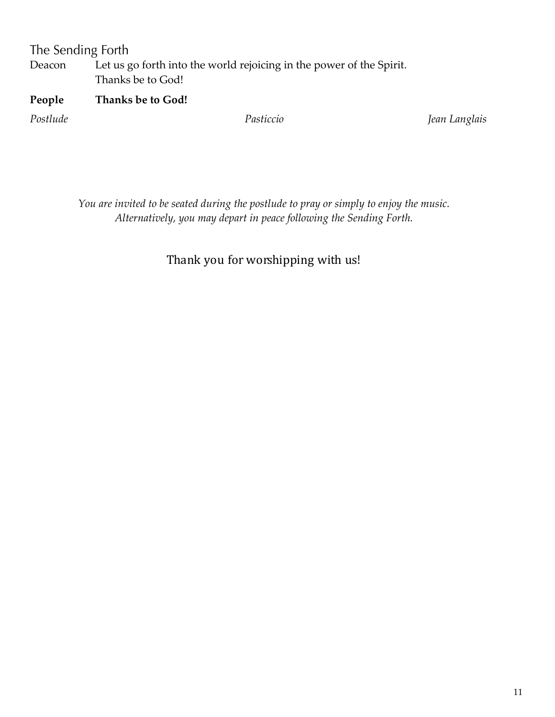The Sending Forth

Deacon Let us go forth into the world rejoicing in the power of the Spirit. Thanks be to God!

**People Thanks be to God!** 

Postlude *Pasticcio Pasticcio Jean Langlais* 

*You are invited to be seated during the postlude to pray or simply to enjoy the music. Alternatively, you may depart in peace following the Sending Forth.*

## Thank you for worshipping with us!